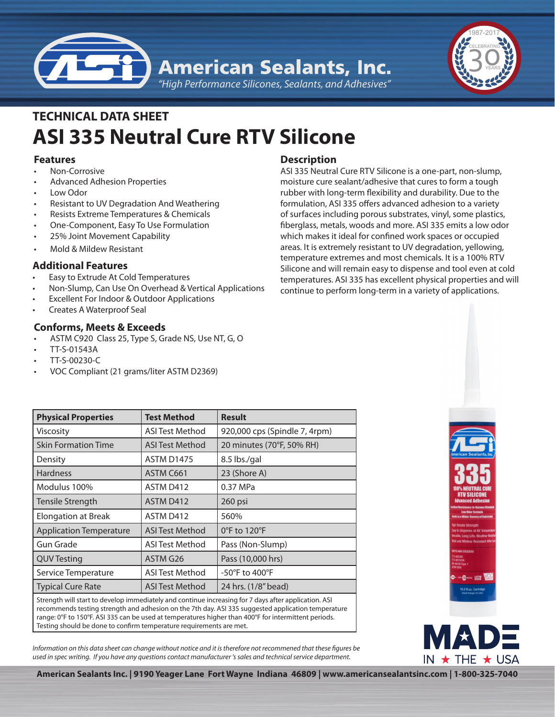



# **ASI 335 Neutral Cure RTV Silicone TECHNICAL DATA SHEET**

## **Features**

- Non-Corrosive
- Advanced Adhesion Properties
- Low Odor
- Resistant to UV Degradation And Weathering
- Resists Extreme Temperatures & Chemicals
- One-Component, Easy To Use Formulation
- 25% Joint Movement Capability
- Mold & Mildew Resistant

## **Additional Features**

- Easy to Extrude At Cold Temperatures
- Non-Slump, Can Use On Overhead & Vertical Applications
- Excellent For Indoor & Outdoor Applications
- **Creates A Waterproof Seal**

## **Conforms, Meets & Exceeds**

- ASTM C920 Class 25, Type S, Grade NS, Use NT, G, O
- • TT-S-01543A
- • TT-S-00230-C
- VOC Compliant (21 grams/liter ASTM D2369)

# **Description**

ASI 335 Neutral Cure RTV Silicone is a one-part, non-slump, moisture cure sealant/adhesive that cures to form a tough rubber with long-term flexibility and durability. Due to the formulation, ASI 335 offers advanced adhesion to a variety of surfaces including porous substrates, vinyl, some plastics, fiberglass, metals, woods and more. ASI 335 emits a low odor which makes it ideal for confined work spaces or occupied areas. It is extremely resistant to UV degradation, yellowing, temperature extremes and most chemicals. It is a 100% RTV Silicone and will remain easy to dispense and tool even at cold temperatures. ASI 335 has excellent physical properties and will continue to perform long-term in a variety of applications.

| <b>Physical Properties</b>                                                                                             | <b>Test Method</b>     | <b>Result</b>                 |
|------------------------------------------------------------------------------------------------------------------------|------------------------|-------------------------------|
| Viscosity                                                                                                              | <b>ASI Test Method</b> | 920,000 cps (Spindle 7, 4rpm) |
| <b>Skin Formation Time</b>                                                                                             | ASI Test Method        | 20 minutes (70°F, 50% RH)     |
| Density                                                                                                                | <b>ASTM D1475</b>      | 8.5 lbs./gal                  |
| <b>Hardness</b>                                                                                                        | ASTM C661              | 23 (Shore A)                  |
| Modulus 100%                                                                                                           | ASTM D412              | 0.37 MPa                      |
| Tensile Strength                                                                                                       | ASTM D412              | 260 psi                       |
| <b>Elongation at Break</b>                                                                                             | ASTM D412              | 560%                          |
| <b>Application Temperature</b>                                                                                         | <b>ASI Test Method</b> | 0°F to 120°F                  |
| Gun Grade                                                                                                              | <b>ASI Test Method</b> | Pass (Non-Slump)              |
| <b>QUV Testing</b>                                                                                                     | ASTM G26               | Pass (10,000 hrs)             |
| Service Temperature                                                                                                    | <b>ASI Test Method</b> | -50°F to 400°F                |
| <b>Typical Cure Rate</b>                                                                                               | <b>ASI Test Method</b> | 24 hrs. (1/8" bead)           |
| الكفار ويتلقمه المسورة بمعارض ويرواح والمقارح والمستويات والمستراح والمعتاد والمستراح والمرواح وعاسوهم الزري والسرورون |                        |                               |

Strength will start to develop immediately and continue increasing for 7 days after application. ASI recommends testing strength and adhesion on the 7th day. ASI 335 suggested application temperature range: 0°F to 150°F. ASI 335 can be used at temperatures higher than 400°F for intermittent periods. Testing should be done to confirm temperature requirements are met.

*Information on this data sheet can change without notice and it is therefore not recommened that these figures be used in spec writing. If you have any questions contact manufacturer 's sales and technical service department.*





**American Sealants Inc. | 9190 Yeager Lane Fort Wayne Indiana 46809 | www.americansealantsinc.com | 1-800-325-7040**